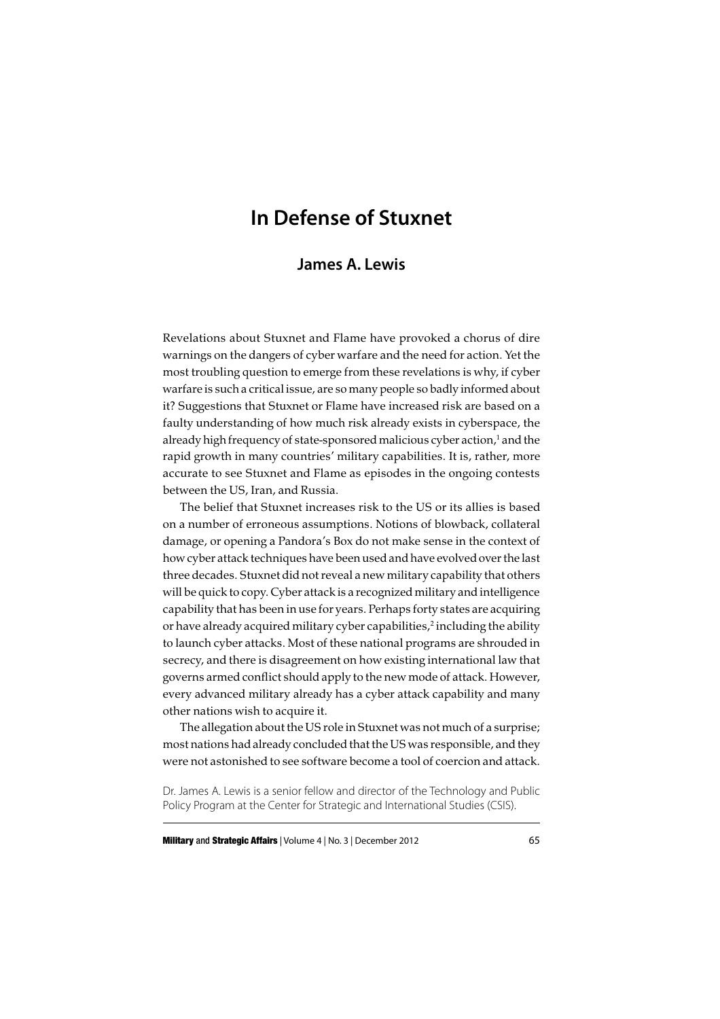# **In Defense of Stuxnet**

## **James A. Lewis**

Revelations about Stuxnet and Flame have provoked a chorus of dire warnings on the dangers of cyber warfare and the need for action. Yet the most troubling question to emerge from these revelations is why, if cyber warfare is such a critical issue, are so many people so badly informed about it? Suggestions that Stuxnet or Flame have increased risk are based on a faulty understanding of how much risk already exists in cyberspace, the already high frequency of state-sponsored malicious cyber action,<sup>1</sup> and the rapid growth in many countries' military capabilities. It is, rather, more accurate to see Stuxnet and Flame as episodes in the ongoing contests between the US, Iran, and Russia.

The belief that Stuxnet increases risk to the US or its allies is based on a number of erroneous assumptions. Notions of blowback, collateral damage, or opening a Pandora's Box do not make sense in the context of how cyber attack techniques have been used and have evolved over the last three decades. Stuxnet did not reveal a new military capability that others will be quick to copy. Cyber attack is a recognized military and intelligence capability that has been in use for years. Perhaps forty states are acquiring or have already acquired military cyber capabilities,<sup>2</sup> including the ability to launch cyber attacks. Most of these national programs are shrouded in secrecy, and there is disagreement on how existing international law that governs armed conflict should apply to the new mode of attack. However, every advanced military already has a cyber attack capability and many other nations wish to acquire it.

The allegation about the US role in Stuxnet was not much of a surprise; most nations had already concluded that the US was responsible, and they were not astonished to see software become a tool of coercion and attack.

Dr. James A. Lewis is a senior fellow and director of the Technology and Public Policy Program at the Center for Strategic and International Studies (CSIS).

**Military** and **Strategic Affairs** | Volume 4 | No. 3 | December 2012 65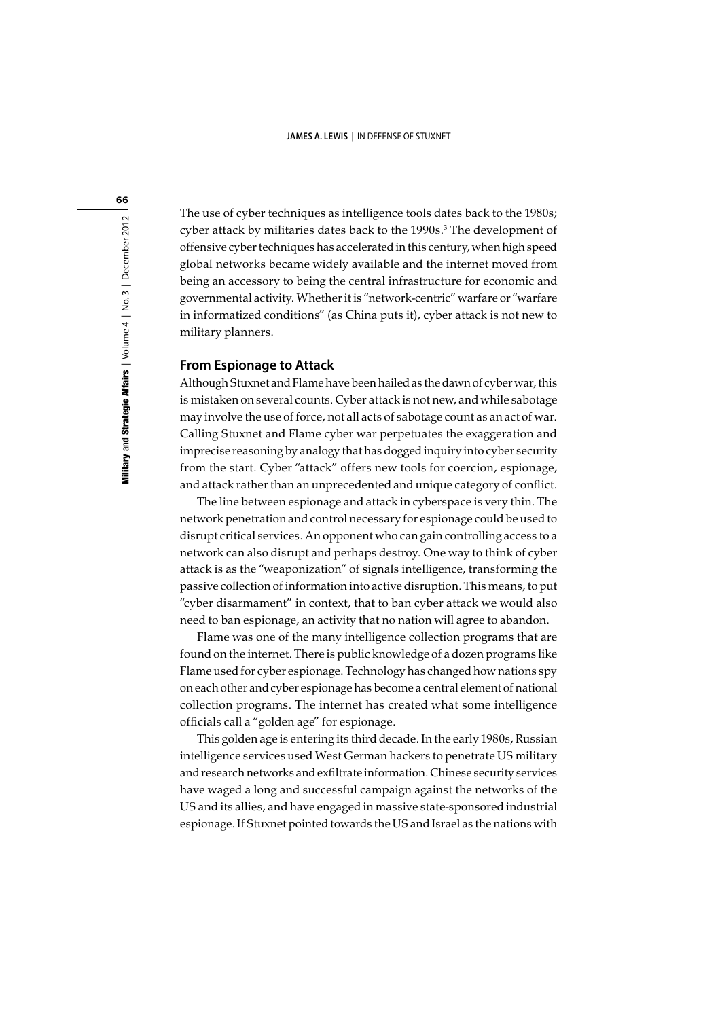The use of cyber techniques as intelligence tools dates back to the 1980s; cyber attack by militaries dates back to the 1990s.<sup>3</sup> The development of offensive cyber techniques has accelerated in this century, when high speed global networks became widely available and the internet moved from being an accessory to being the central infrastructure for economic and governmental activity. Whether it is "network-centric" warfare or "warfare in informatized conditions" (as China puts it), cyber attack is not new to military planners.

## **From Espionage to Attack**

Although Stuxnet and Flame have been hailed as the dawn of cyber war, this is mistaken on several counts. Cyber attack is not new, and while sabotage may involve the use of force, not all acts of sabotage count as an act of war. Calling Stuxnet and Flame cyber war perpetuates the exaggeration and imprecise reasoning by analogy that has dogged inquiry into cyber security from the start. Cyber "attack" offers new tools for coercion, espionage, and attack rather than an unprecedented and unique category of conflict.

The line between espionage and attack in cyberspace is very thin. The network penetration and control necessary for espionage could be used to disrupt critical services. An opponent who can gain controlling access to a network can also disrupt and perhaps destroy. One way to think of cyber attack is as the "weaponization" of signals intelligence, transforming the passive collection of information into active disruption. This means, to put "cyber disarmament" in context, that to ban cyber attack we would also need to ban espionage, an activity that no nation will agree to abandon.

Flame was one of the many intelligence collection programs that are found on the internet. There is public knowledge of a dozen programs like Flame used for cyber espionage. Technology has changed how nations spy on each other and cyber espionage has become a central element of national collection programs. The internet has created what some intelligence officials call a "golden age" for espionage.

This golden age is entering its third decade. In the early 1980s, Russian intelligence services used West German hackers to penetrate US military and research networks and exfiltrate information. Chinese security services have waged a long and successful campaign against the networks of the US and its allies, and have engaged in massive state-sponsored industrial espionage. If Stuxnet pointed towards the US and Israel as the nations with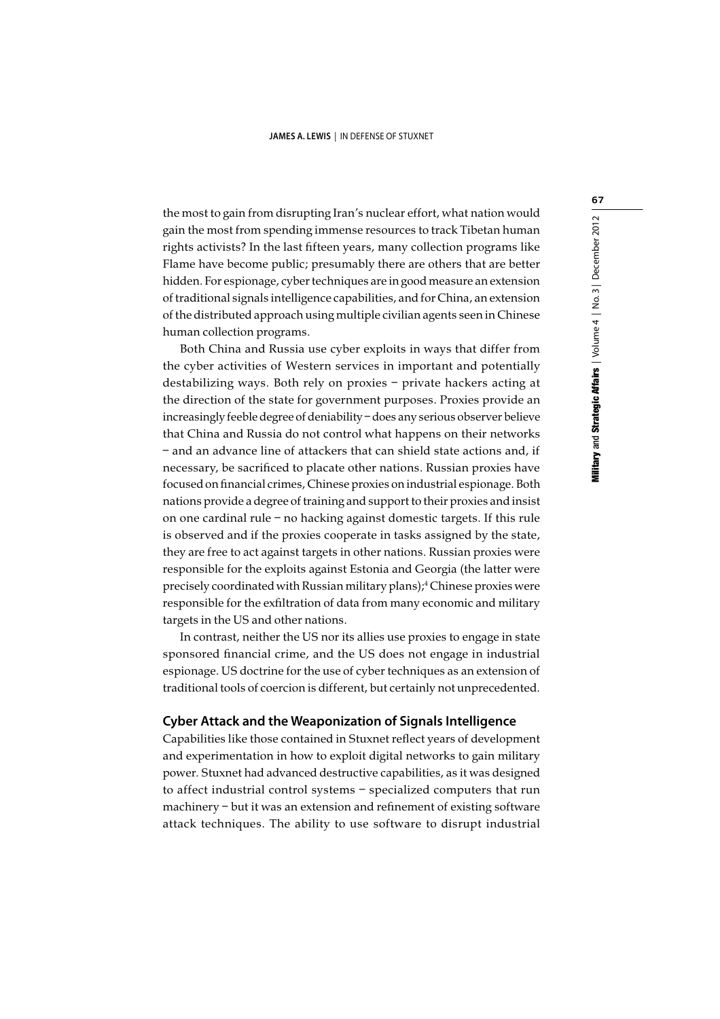the most to gain from disrupting Iran's nuclear effort, what nation would gain the most from spending immense resources to track Tibetan human rights activists? In the last fifteen years, many collection programs like Flame have become public; presumably there are others that are better hidden. For espionage, cyber techniques are in good measure an extension of traditional signals intelligence capabilities, and for China, an extension of the distributed approach using multiple civilian agents seen in Chinese human collection programs.

Both China and Russia use cyber exploits in ways that differ from the cyber activities of Western services in important and potentially destabilizing ways. Both rely on proxies – private hackers acting at the direction of the state for government purposes. Proxies provide an increasingly feeble degree of deniability – does any serious observer believe that China and Russia do not control what happens on their networks – and an advance line of attackers that can shield state actions and, if necessary, be sacrificed to placate other nations. Russian proxies have focused on financial crimes, Chinese proxies on industrial espionage. Both nations provide a degree of training and support to their proxies and insist on one cardinal rule – no hacking against domestic targets. If this rule is observed and if the proxies cooperate in tasks assigned by the state, they are free to act against targets in other nations. Russian proxies were responsible for the exploits against Estonia and Georgia (the latter were precisely coordinated with Russian military plans);<sup>4</sup> Chinese proxies were responsible for the exfiltration of data from many economic and military targets in the US and other nations.

In contrast, neither the US nor its allies use proxies to engage in state sponsored financial crime, and the US does not engage in industrial espionage. US doctrine for the use of cyber techniques as an extension of traditional tools of coercion is different, but certainly not unprecedented.

## **Cyber Attack and the Weaponization of Signals Intelligence**

Capabilities like those contained in Stuxnet reflect years of development and experimentation in how to exploit digital networks to gain military power. Stuxnet had advanced destructive capabilities, as it was designed to affect industrial control systems – specialized computers that run machinery – but it was an extension and refinement of existing software attack techniques. The ability to use software to disrupt industrial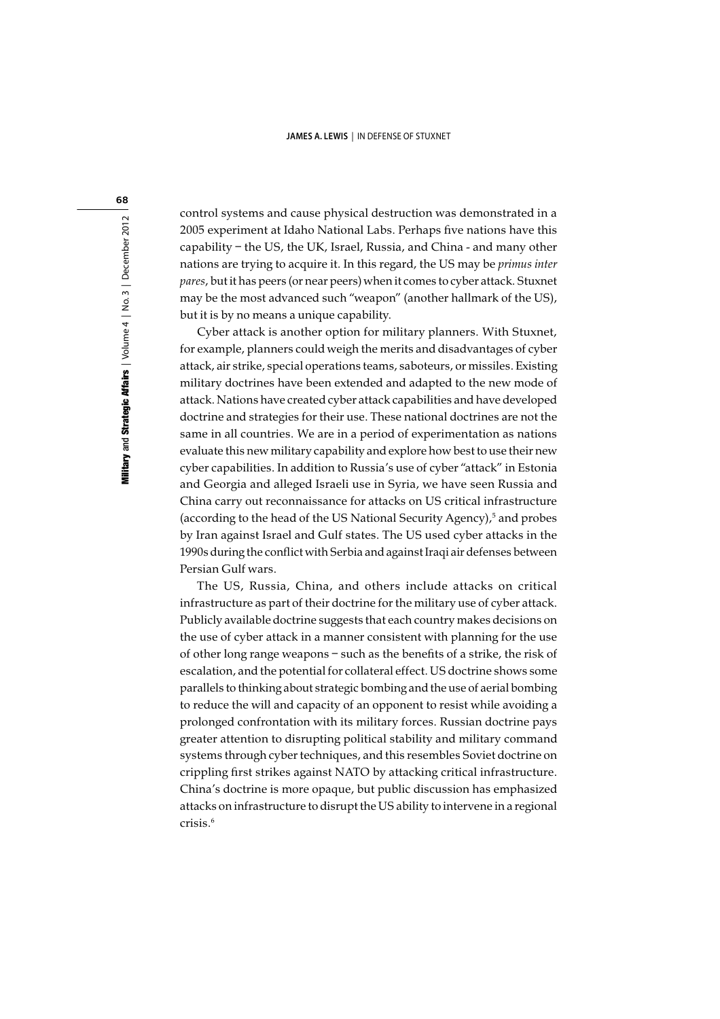control systems and cause physical destruction was demonstrated in a 2005 experiment at Idaho National Labs. Perhaps five nations have this capability – the US, the UK, Israel, Russia, and China - and many other nations are trying to acquire it. In this regard, the US may be primus inter pares, but it has peers (or near peers) when it comes to cyber attack. Stuxnet may be the most advanced such "weapon" (another hallmark of the US), but it is by no means a unique capability.

Cyber attack is another option for military planners. With Stuxnet, for example, planners could weigh the merits and disadvantages of cyber attack, air strike, special operations teams, saboteurs, or missiles. Existing military doctrines have been extended and adapted to the new mode of attack. Nations have created cyber attack capabilities and have developed doctrine and strategies for their use. These national doctrines are not the same in all countries. We are in a period of experimentation as nations evaluate this new military capability and explore how best to use their new cyber capabilities. In addition to Russia's use of cyber "attack" in Estonia and Georgia and alleged Israeli use in Syria, we have seen Russia and China carry out reconnaissance for attacks on US critical infrastructure (according to the head of the US National Security Agency),<sup>5</sup> and probes by Iran against Israel and Gulf states. The US used cyber attacks in the 1990s during the conflict with Serbia and against Iraqi air defenses between Persian Gulf wars.

The US, Russia, China, and others include attacks on critical infrastructure as part of their doctrine for the military use of cyber attack. Publicly available doctrine suggests that each country makes decisions on the use of cyber attack in a manner consistent with planning for the use of other long range weapons – such as the benefits of a strike, the risk of escalation, and the potential for collateral effect. US doctrine shows some parallels to thinking about strategic bombing and the use of aerial bombing to reduce the will and capacity of an opponent to resist while avoiding a prolonged confrontation with its military forces. Russian doctrine pays greater attention to disrupting political stability and military command systems through cyber techniques, and this resembles Soviet doctrine on crippling first strikes against NATO by attacking critical infrastructure. China's doctrine is more opaque, but public discussion has emphasized attacks on infrastructure to disrupt the US ability to intervene in a regional crisis.6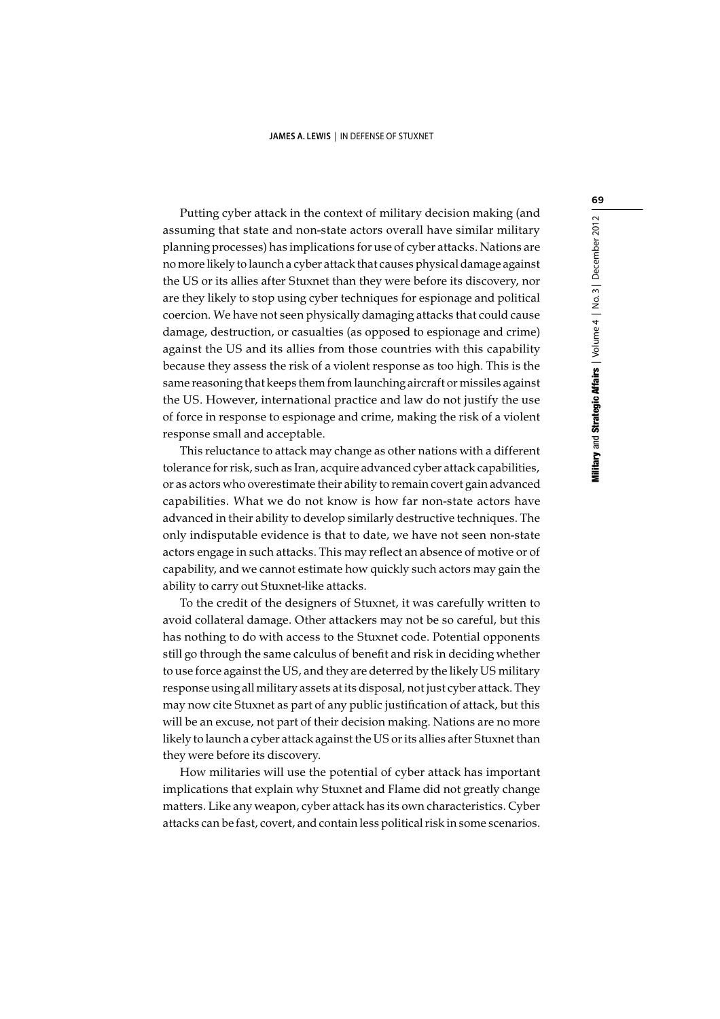Putting cyber attack in the context of military decision making (and assuming that state and non-state actors overall have similar military planning processes) has implications for use of cyber attacks. Nations are no more likely to launch a cyber attack that causes physical damage against the US or its allies after Stuxnet than they were before its discovery, nor are they likely to stop using cyber techniques for espionage and political coercion. We have not seen physically damaging attacks that could cause damage, destruction, or casualties (as opposed to espionage and crime) against the US and its allies from those countries with this capability because they assess the risk of a violent response as too high. This is the same reasoning that keeps them from launching aircraft or missiles against the US. However, international practice and law do not justify the use of force in response to espionage and crime, making the risk of a violent response small and acceptable.

This reluctance to attack may change as other nations with a different tolerance for risk, such as Iran, acquire advanced cyber attack capabilities, or as actors who overestimate their ability to remain covert gain advanced capabilities. What we do not know is how far non-state actors have advanced in their ability to develop similarly destructive techniques. The only indisputable evidence is that to date, we have not seen non-state actors engage in such attacks. This may reflect an absence of motive or of capability, and we cannot estimate how quickly such actors may gain the ability to carry out Stuxnet-like attacks.

To the credit of the designers of Stuxnet, it was carefully written to avoid collateral damage. Other attackers may not be so careful, but this has nothing to do with access to the Stuxnet code. Potential opponents still go through the same calculus of benefit and risk in deciding whether to use force against the US, and they are deterred by the likely US military response using all military assets at its disposal, not just cyber attack. They may now cite Stuxnet as part of any public justification of attack, but this will be an excuse, not part of their decision making. Nations are no more likely to launch a cyber attack against the US or its allies after Stuxnet than they were before its discovery.

How militaries will use the potential of cyber attack has important implications that explain why Stuxnet and Flame did not greatly change matters. Like any weapon, cyber attack has its own characteristics. Cyber attacks can be fast, covert, and contain less political risk in some scenarios.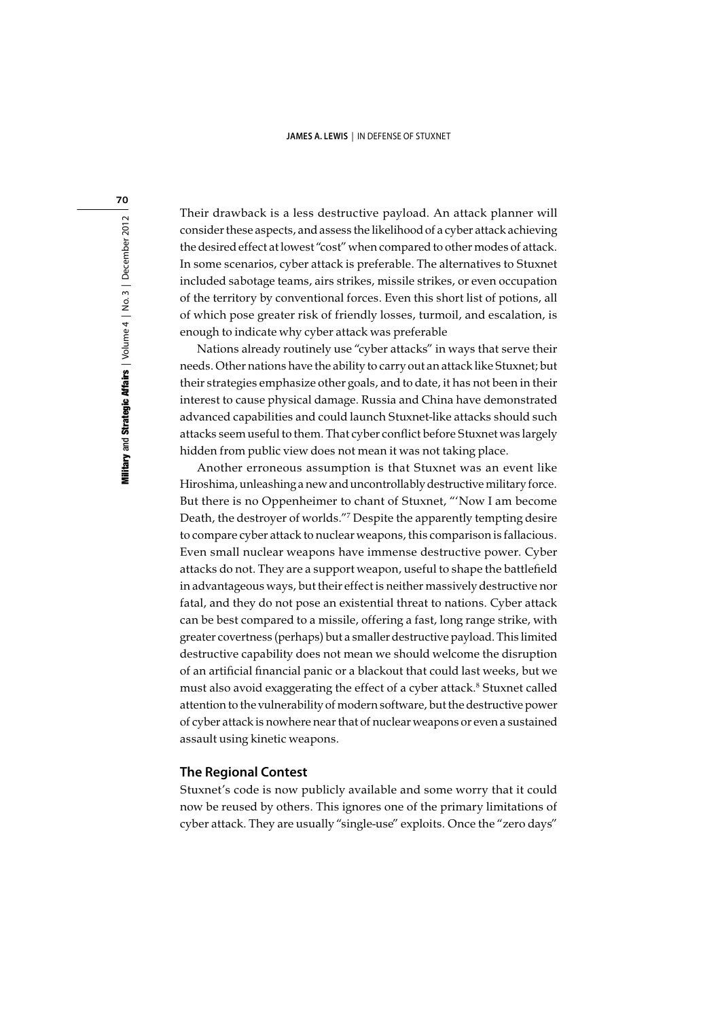Their drawback is a less destructive payload. An attack planner will consider these aspects, and assess the likelihood of a cyber attack achieving the desired effect at lowest "cost" when compared to other modes of attack. In some scenarios, cyber attack is preferable. The alternatives to Stuxnet included sabotage teams, airs strikes, missile strikes, or even occupation of the territory by conventional forces. Even this short list of potions, all of which pose greater risk of friendly losses, turmoil, and escalation, is enough to indicate why cyber attack was preferable

Nations already routinely use "cyber attacks" in ways that serve their needs. Other nations have the ability to carry out an attack like Stuxnet; but their strategies emphasize other goals, and to date, it has not been in their interest to cause physical damage. Russia and China have demonstrated advanced capabilities and could launch Stuxnet-like attacks should such attacks seem useful to them. That cyber conflict before Stuxnet was largely hidden from public view does not mean it was not taking place.

Another erroneous assumption is that Stuxnet was an event like Hiroshima, unleashing a new and uncontrollably destructive military force. But there is no Oppenheimer to chant of Stuxnet, "'Now I am become Death, the destroyer of worlds."7 Despite the apparently tempting desire to compare cyber attack to nuclear weapons, this comparison is fallacious. Even small nuclear weapons have immense destructive power. Cyber attacks do not. They are a support weapon, useful to shape the battlefield in advantageous ways, but their effect is neither massively destructive nor fatal, and they do not pose an existential threat to nations. Cyber attack can be best compared to a missile, offering a fast, long range strike, with greater covertness (perhaps) but a smaller destructive payload. This limited destructive capability does not mean we should welcome the disruption of an artificial financial panic or a blackout that could last weeks, but we must also avoid exaggerating the effect of a cyber attack.<sup>8</sup> Stuxnet called attention to the vulnerability of modern software, but the destructive power of cyber attack is nowhere near that of nuclear weapons or even a sustained assault using kinetic weapons.

## **The Regional Contest**

Stuxnet's code is now publicly available and some worry that it could now be reused by others. This ignores one of the primary limitations of cyber attack. They are usually "single-use" exploits. Once the "zero days"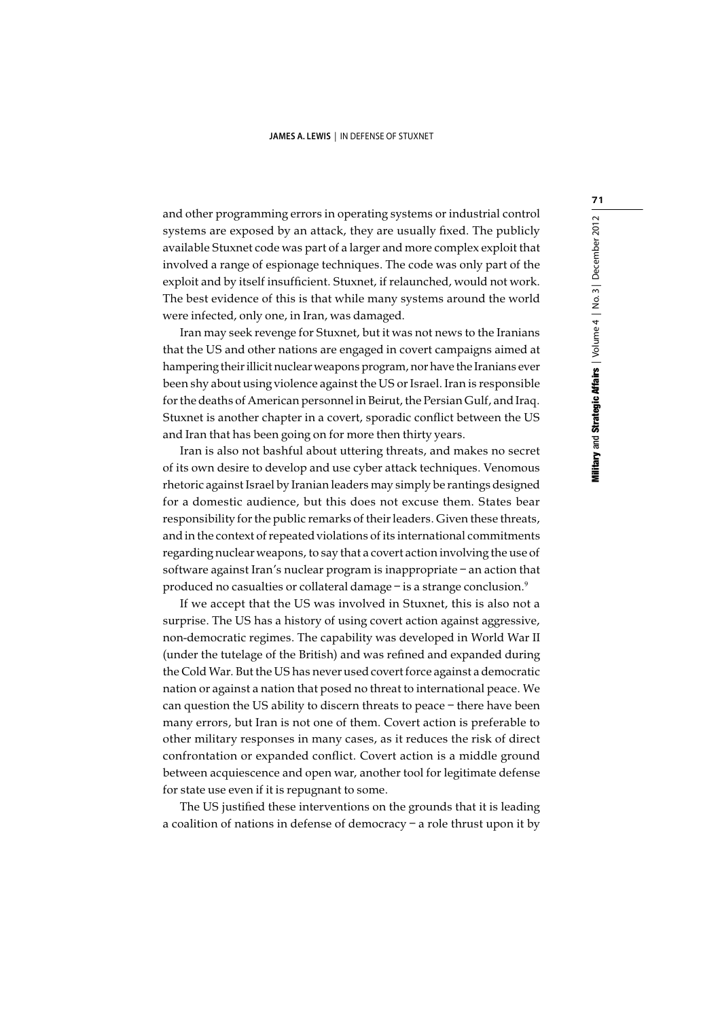and other programming errors in operating systems or industrial control systems are exposed by an attack, they are usually fixed. The publicly available Stuxnet code was part of a larger and more complex exploit that involved a range of espionage techniques. The code was only part of the exploit and by itself insufficient. Stuxnet, if relaunched, would not work. The best evidence of this is that while many systems around the world were infected, only one, in Iran, was damaged.

Iran may seek revenge for Stuxnet, but it was not news to the Iranians that the US and other nations are engaged in covert campaigns aimed at hampering their illicit nuclear weapons program, nor have the Iranians ever been shy about using violence against the US or Israel. Iran is responsible for the deaths of American personnel in Beirut, the Persian Gulf, and Iraq. Stuxnet is another chapter in a covert, sporadic conflict between the US and Iran that has been going on for more then thirty years.

Iran is also not bashful about uttering threats, and makes no secret of its own desire to develop and use cyber attack techniques. Venomous rhetoric against Israel by Iranian leaders may simply be rantings designed for a domestic audience, but this does not excuse them. States bear responsibility for the public remarks of their leaders. Given these threats, and in the context of repeated violations of its international commitments regarding nuclear weapons, to say that a covert action involving the use of software against Iran's nuclear program is inappropriate – an action that produced no casualties or collateral damage – is a strange conclusion.<sup>9</sup>

If we accept that the US was involved in Stuxnet, this is also not a surprise. The US has a history of using covert action against aggressive, non-democratic regimes. The capability was developed in World War II (under the tutelage of the British) and was refined and expanded during the Cold War. But the US has never used covert force against a democratic nation or against a nation that posed no threat to international peace. We can question the US ability to discern threats to peace – there have been many errors, but Iran is not one of them. Covert action is preferable to other military responses in many cases, as it reduces the risk of direct confrontation or expanded conflict. Covert action is a middle ground between acquiescence and open war, another tool for legitimate defense for state use even if it is repugnant to some.

The US justified these interventions on the grounds that it is leading a coalition of nations in defense of democracy – a role thrust upon it by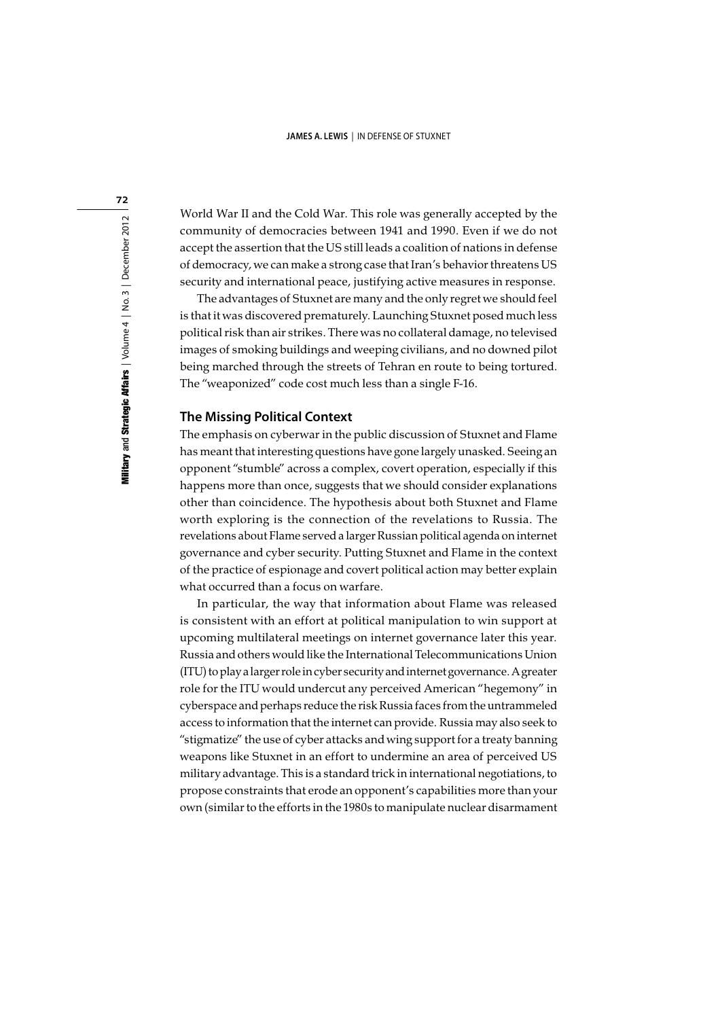World War II and the Cold War. This role was generally accepted by the community of democracies between 1941 and 1990. Even if we do not accept the assertion that the US still leads a coalition of nations in defense of democracy, we can make a strong case that Iran's behavior threatens US security and international peace, justifying active measures in response.

The advantages of Stuxnet are many and the only regret we should feel is that it was discovered prematurely. Launching Stuxnet posed much less political risk than air strikes. There was no collateral damage, no televised images of smoking buildings and weeping civilians, and no downed pilot being marched through the streets of Tehran en route to being tortured. The "weaponized" code cost much less than a single F-16.

## **The Missing Political Context**

The emphasis on cyberwar in the public discussion of Stuxnet and Flame has meant that interesting questions have gone largely unasked. Seeing an opponent "stumble" across a complex, covert operation, especially if this happens more than once, suggests that we should consider explanations other than coincidence. The hypothesis about both Stuxnet and Flame worth exploring is the connection of the revelations to Russia. The revelations about Flame served a larger Russian political agenda on internet governance and cyber security. Putting Stuxnet and Flame in the context of the practice of espionage and covert political action may better explain what occurred than a focus on warfare.

In particular, the way that information about Flame was released is consistent with an effort at political manipulation to win support at upcoming multilateral meetings on internet governance later this year. Russia and others would like the International Telecommunications Union (ITU) to play a larger role in cyber security and internet governance. A greater role for the ITU would undercut any perceived American "hegemony" in cyberspace and perhaps reduce the risk Russia faces from the untrammeled access to information that the internet can provide. Russia may also seek to "stigmatize" the use of cyber attacks and wing support for a treaty banning weapons like Stuxnet in an effort to undermine an area of perceived US military advantage. This is a standard trick in international negotiations, to propose constraints that erode an opponent's capabilities more than your own (similar to the efforts in the 1980s to manipulate nuclear disarmament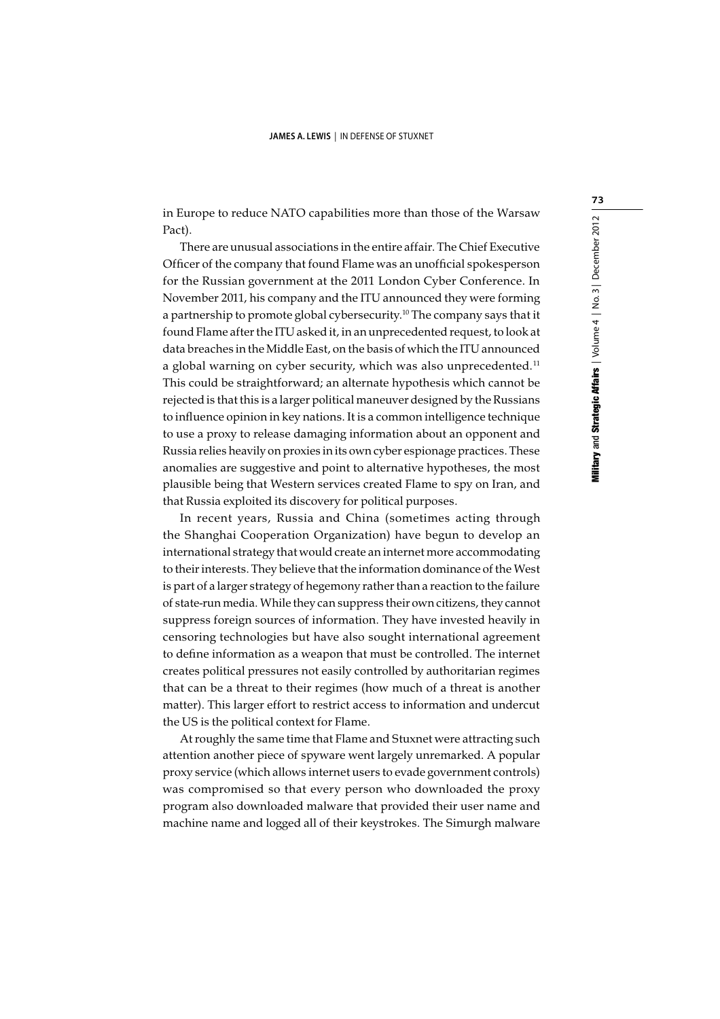in Europe to reduce NATO capabilities more than those of the Warsaw Pact).

There are unusual associations in the entire affair. The Chief Executive Officer of the company that found Flame was an unofficial spokesperson for the Russian government at the 2011 London Cyber Conference. In November 2011, his company and the ITU announced they were forming a partnership to promote global cybersecurity.10 The company says that it found Flame after the ITU asked it, in an unprecedented request, to look at data breaches in the Middle East, on the basis of which the ITU announced a global warning on cyber security, which was also unprecedented.<sup>11</sup> This could be straightforward; an alternate hypothesis which cannot be rejected is that this is a larger political maneuver designed by the Russians to influence opinion in key nations. It is a common intelligence technique to use a proxy to release damaging information about an opponent and Russia relies heavily on proxies in its own cyber espionage practices. These anomalies are suggestive and point to alternative hypotheses, the most plausible being that Western services created Flame to spy on Iran, and that Russia exploited its discovery for political purposes.

In recent years, Russia and China (sometimes acting through the Shanghai Cooperation Organization) have begun to develop an international strategy that would create an internet more accommodating to their interests. They believe that the information dominance of the West is part of a larger strategy of hegemony rather than a reaction to the failure of state-run media. While they can suppress their own citizens, they cannot suppress foreign sources of information. They have invested heavily in censoring technologies but have also sought international agreement to define information as a weapon that must be controlled. The internet creates political pressures not easily controlled by authoritarian regimes that can be a threat to their regimes (how much of a threat is another matter). This larger effort to restrict access to information and undercut the US is the political context for Flame.

At roughly the same time that Flame and Stuxnet were attracting such attention another piece of spyware went largely unremarked. A popular proxy service (which allows internet users to evade government controls) was compromised so that every person who downloaded the proxy program also downloaded malware that provided their user name and machine name and logged all of their keystrokes. The Simurgh malware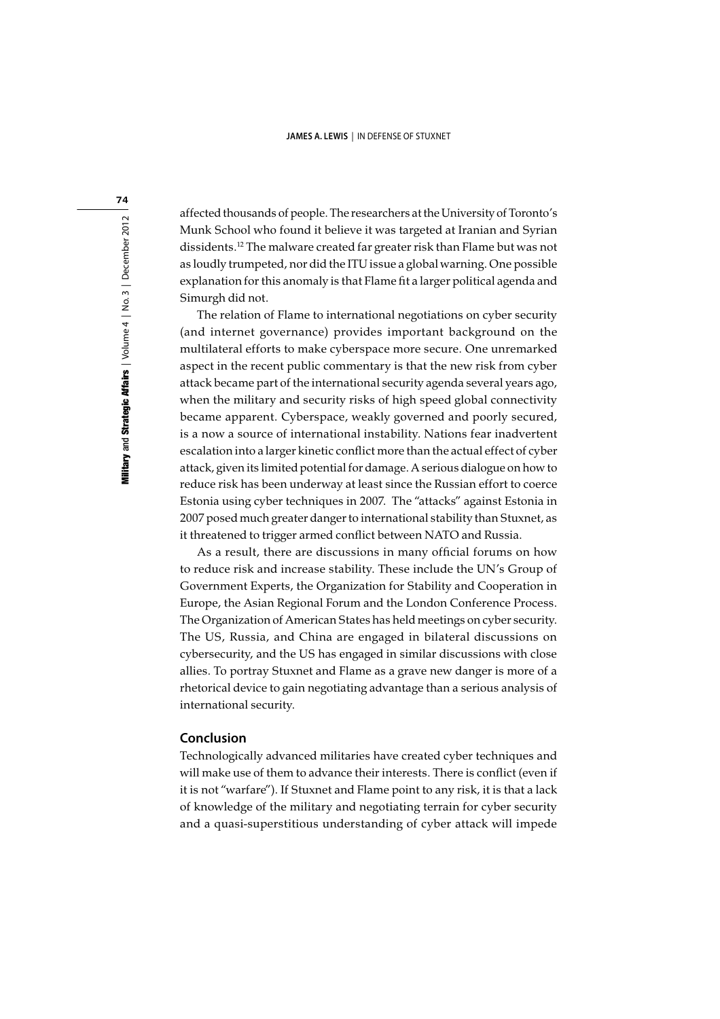affected thousands of people. The researchers at the University of Toronto's Munk School who found it believe it was targeted at Iranian and Syrian dissidents.12 The malware created far greater risk than Flame but was not as loudly trumpeted, nor did the ITU issue a global warning. One possible explanation for this anomaly is that Flame fit a larger political agenda and Simurgh did not.

The relation of Flame to international negotiations on cyber security (and internet governance) provides important background on the multilateral efforts to make cyberspace more secure. One unremarked aspect in the recent public commentary is that the new risk from cyber attack became part of the international security agenda several years ago, when the military and security risks of high speed global connectivity became apparent. Cyberspace, weakly governed and poorly secured, is a now a source of international instability. Nations fear inadvertent escalation into a larger kinetic conflict more than the actual effect of cyber attack, given its limited potential for damage. A serious dialogue on how to reduce risk has been underway at least since the Russian effort to coerce Estonia using cyber techniques in 2007. The "attacks" against Estonia in 2007 posed much greater danger to international stability than Stuxnet, as it threatened to trigger armed conflict between NATO and Russia.

As a result, there are discussions in many official forums on how to reduce risk and increase stability. These include the UN's Group of Government Experts, the Organization for Stability and Cooperation in Europe, the Asian Regional Forum and the London Conference Process. The Organization of American States has held meetings on cyber security. The US, Russia, and China are engaged in bilateral discussions on cybersecurity, and the US has engaged in similar discussions with close allies. To portray Stuxnet and Flame as a grave new danger is more of a rhetorical device to gain negotiating advantage than a serious analysis of international security.

### **Conclusion**

Technologically advanced militaries have created cyber techniques and will make use of them to advance their interests. There is conflict (even if it is not "warfare"). If Stuxnet and Flame point to any risk, it is that a lack of knowledge of the military and negotiating terrain for cyber security and a quasi-superstitious understanding of cyber attack will impede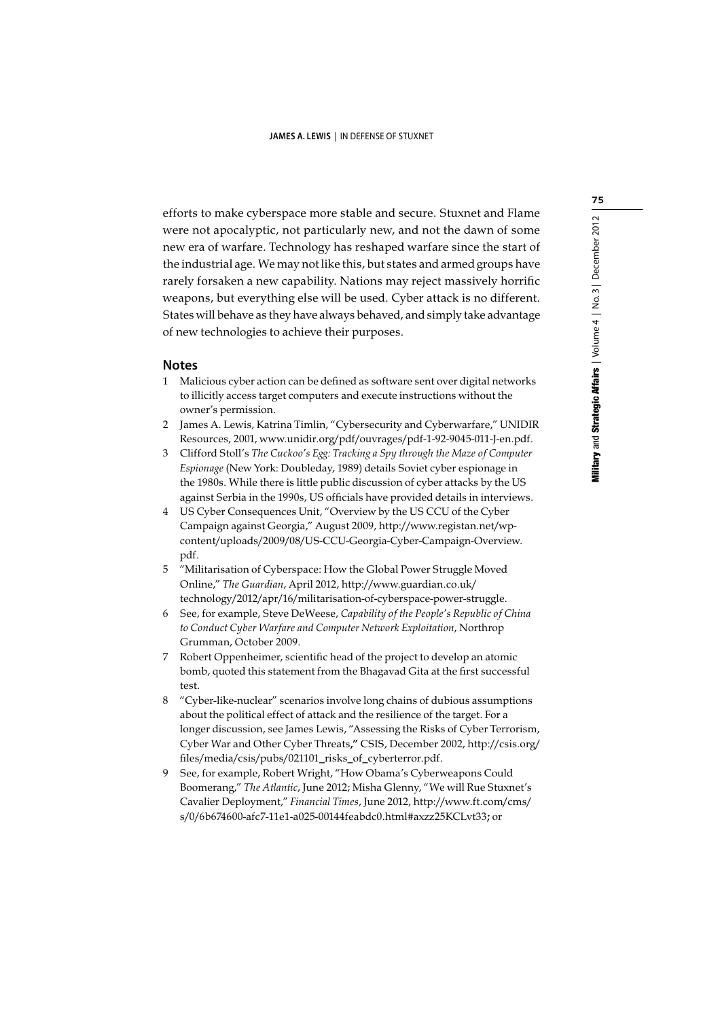efforts to make cyberspace more stable and secure. Stuxnet and Flame were not apocalyptic, not particularly new, and not the dawn of some new era of warfare. Technology has reshaped warfare since the start of the industrial age. We may not like this, but states and armed groups have rarely forsaken a new capability. Nations may reject massively horrific weapons, but everything else will be used. Cyber attack is no different. States will behave as they have always behaved, and simply take advantage of new technologies to achieve their purposes.

### **Notes**

- 1 Malicious cyber action can be defined as software sent over digital networks to illicitly access target computers and execute instructions without the owner's permission.
- 2 James A. Lewis, Katrina Timlin, "Cybersecurity and Cyberwarfare," UNIDIR Resources, 2001, www.unidir.org/pdf/ouvrages/pdf-1-92-9045-011-J-en.pdf.
- 3 Clifford Stoll's The Cuckoo's Egg: Tracking a Spy through the Maze of Computer Espionage (New York: Doubleday, 1989) details Soviet cyber espionage in the 1980s. While there is little public discussion of cyber attacks by the US against Serbia in the 1990s, US officials have provided details in interviews.
- 4 US Cyber Consequences Unit, "Overview by the US CCU of the Cyber Campaign against Georgia," August 2009, http://www.registan.net/wpcontent/uploads/2009/08/US-CCU-Georgia-Cyber-Campaign-Overview. pdf.
- 5 "Militarisation of Cyberspace: How the Global Power Struggle Moved Online," The Guardian, April 2012, http://www.guardian.co.uk/ technology/2012/apr/16/militarisation-of-cyberspace-power-struggle.
- 6 See, for example, Steve DeWeese, Capability of the People's Republic of China to Conduct Cyber Warfare and Computer Network Exploitation, Northrop Grumman, October 2009.
- 7 Robert Oppenheimer, scientific head of the project to develop an atomic bomb, quoted this statement from the Bhagavad Gita at the first successful test.
- 8 "Cyber-like-nuclear" scenarios involve long chains of dubious assumptions about the political effect of attack and the resilience of the target. For a longer discussion, see James Lewis, "Assessing the Risks of Cyber Terrorism, Cyber War and Other Cyber Threats," CSIS, December 2002, http://csis.org/ files/media/csis/pubs/021101\_risks\_of\_cyberterror.pdf.
- 9 See, for example, Robert Wright, "How Obama's Cyberweapons Could Boomerang," The Atlantic, June 2012; Misha Glenny, "We will Rue Stuxnet's Cavalier Deployment," Financial Times, June 2012, http://www.ft.com/cms/ s/0/6b674600-afc7-11e1-a025-00144feabdc0.html#axzz25KCLvt33; or